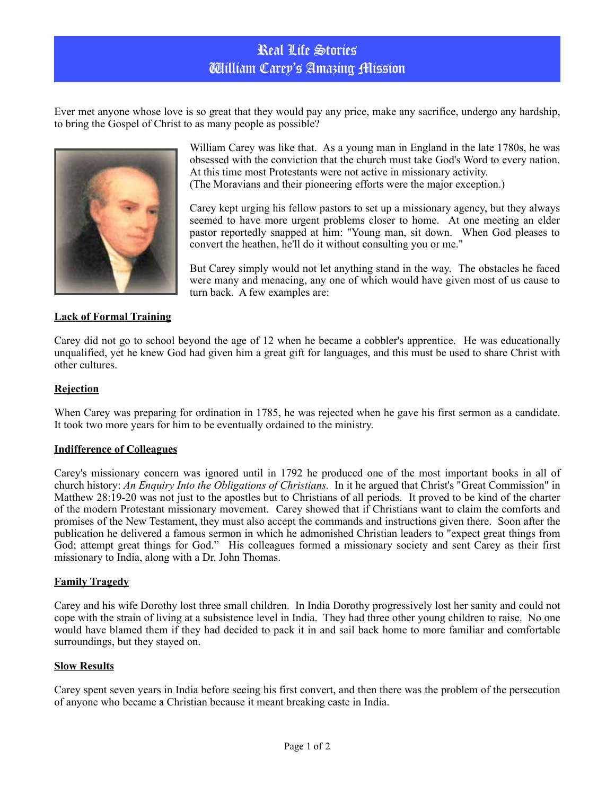# Real Life Stories William Carey's Amazing Mission

Ever met anyone whose love is so great that they would pay any price, make any sacrifice, undergo any hardship, to bring the Gospel of Christ to as many people as possible?



William Carey was like that. As a young man in England in the late 1780s, he was obsessed with the conviction that the church must take God's Word to every nation. At this time most Protestants were not active in missionary activity. (The Moravians and their pioneering efforts were the major exception.)

Carey kept urging his fellow pastors to set up a missionary agency, but they always seemed to have more urgent problems closer to home. At one meeting an elder pastor reportedly snapped at him: "Young man, sit down. When God pleases to convert the heathen, he'll do it without consulting you or me."

But Carey simply would not let anything stand in the way. The obstacles he faced were many and menacing, any one of which would have given most of us cause to turn back. A few examples are:

## **Lack of Formal Training**

Carey did not go to school beyond the age of 12 when he became a cobbler's apprentice. He was educationally unqualified, yet he knew God had given him a great gift for languages, and this must be used to share Christ with other cultures.

### **Rejection**

When Carey was preparing for ordination in 1785, he was rejected when he gave his first sermon as a candidate. It took two more years for him to be eventually ordained to the ministry.

#### **Indifference of Colleagues**

Carey's missionary concern was ignored until in 1792 he produced one of the most important books in all of church history: *An Enquiry Into the Obligations of [Christians.](http://www.christianity.com/)* In it he argued that Christ's "Great Commission" in Matthew 28:19-20 was not just to the apostles but to Christians of all periods. It proved to be kind of the charter of the modern Protestant missionary movement. Carey showed that if Christians want to claim the comforts and promises of the New Testament, they must also accept the commands and instructions given there. Soon after the publication he delivered a famous sermon in which he admonished Christian leaders to "expect great things from God; attempt great things for God." His colleagues formed a missionary society and sent Carey as their first missionary to India, along with a Dr. John Thomas.

#### **Family Tragedy**

Carey and his wife Dorothy lost three small children. In India Dorothy progressively lost her sanity and could not cope with the strain of living at a subsistence level in India. They had three other young children to raise. No one would have blamed them if they had decided to pack it in and sail back home to more familiar and comfortable surroundings, but they stayed on.

#### **Slow Results**

Carey spent seven years in India before seeing his first convert, and then there was the problem of the persecution of anyone who became a Christian because it meant breaking caste in India.